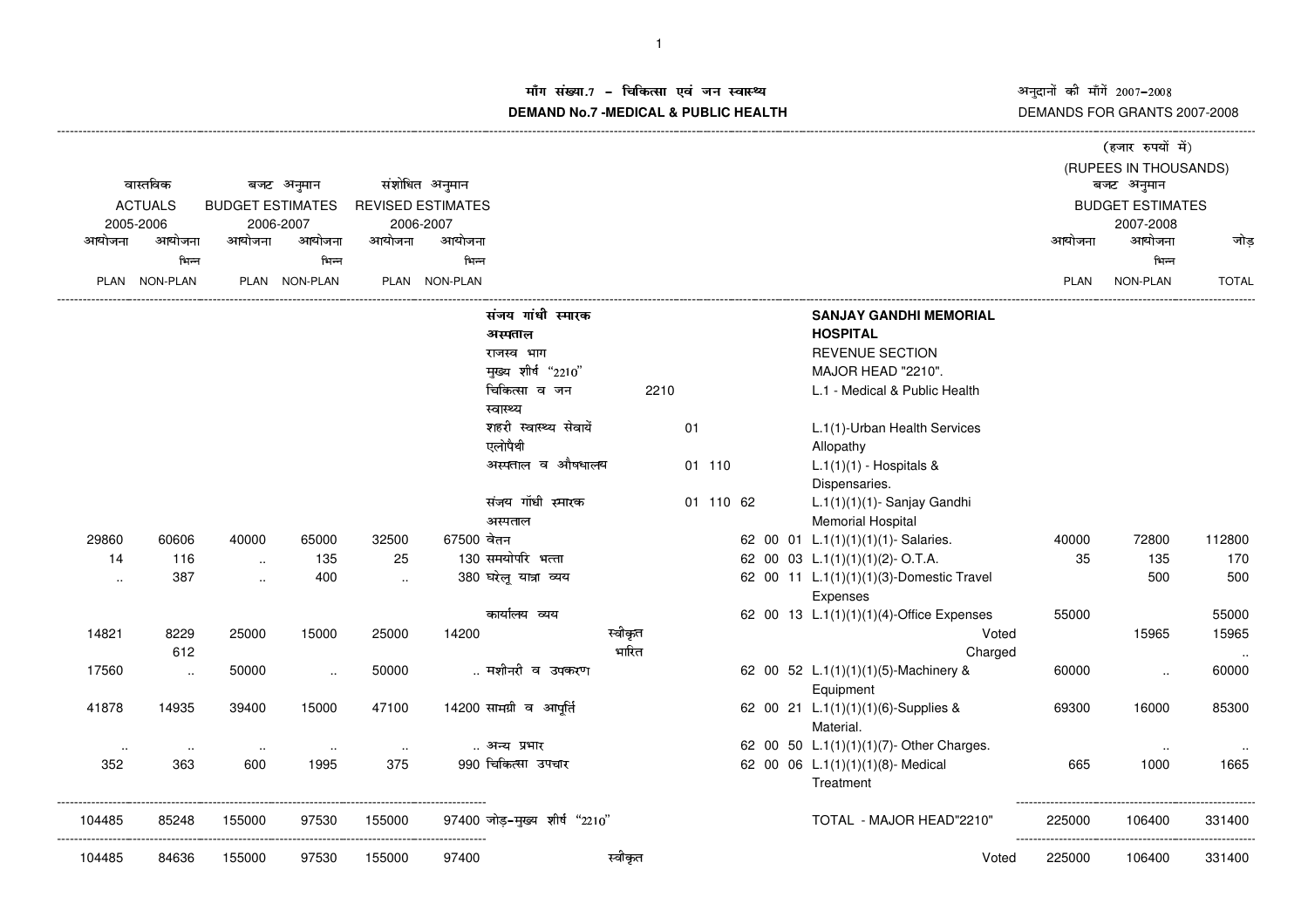अनुदानों की माँगें 2007–2008<br>DEMANDS FOR GRANTS 2007-2008

## ाँग संख्या.7 – चिकित्सा एवं जन स्वास्थ्य<br>IAND N- 7 MEDIOAL 8 DUDLIO-UEALTIL **DEMAND No.7 -MEDICAL & PUBLIC HEALTH**

|                                         |               |                                       |                     |                      |                          |                                 |         |        |           |  |                                                   |             | (हजार रुपयों में)       |              |
|-----------------------------------------|---------------|---------------------------------------|---------------------|----------------------|--------------------------|---------------------------------|---------|--------|-----------|--|---------------------------------------------------|-------------|-------------------------|--------------|
|                                         |               |                                       |                     |                      |                          |                                 |         |        |           |  |                                                   |             | (RUPEES IN THOUSANDS)   |              |
| वास्तविक<br><b>ACTUALS</b><br>2005-2006 |               | बजट अनुमान<br><b>BUDGET ESTIMATES</b> |                     |                      | संशोधित अनुमान           |                                 |         |        |           |  |                                                   |             | बजट अनुमान              |              |
|                                         |               |                                       |                     |                      | <b>REVISED ESTIMATES</b> |                                 |         |        |           |  |                                                   |             | <b>BUDGET ESTIMATES</b> |              |
| आयोजना                                  | आयोजना        | आयोजना                                | 2006-2007<br>आयोजना | आयोजना               | 2006-2007<br>आयोजना      |                                 |         |        |           |  |                                                   | आयोजना      | 2007-2008<br>आयोजना     | जोड          |
|                                         | भिन्न         |                                       | भिन्न               |                      | भिन्न                    |                                 |         |        |           |  |                                                   |             | भिन्न                   |              |
|                                         | PLAN NON-PLAN |                                       | PLAN NON-PLAN       |                      | PLAN NON-PLAN            |                                 |         |        |           |  |                                                   | <b>PLAN</b> | NON-PLAN                | <b>TOTAL</b> |
|                                         |               |                                       |                     |                      |                          |                                 |         |        |           |  |                                                   |             |                         |              |
|                                         |               |                                       |                     |                      |                          | संजय गांधी स्मारक               |         |        |           |  | <b>SANJAY GANDHI MEMORIAL</b>                     |             |                         |              |
|                                         |               |                                       |                     |                      |                          | अस्पताल                         |         |        |           |  | <b>HOSPITAL</b>                                   |             |                         |              |
|                                         |               |                                       |                     |                      |                          | राजस्व भाग                      |         |        |           |  | <b>REVENUE SECTION</b>                            |             |                         |              |
|                                         |               |                                       |                     |                      |                          | मुख्य शीर्ष "2210"              |         |        |           |  | MAJOR HEAD "2210".                                |             |                         |              |
|                                         |               |                                       |                     |                      |                          | चिकित्सा व जन<br>स्वास्थ्य      | 2210    |        |           |  | L.1 - Medical & Public Health                     |             |                         |              |
|                                         |               |                                       |                     |                      |                          | शहरी स्वास्थ्य सेवायें          |         | 01     |           |  | L.1(1)-Urban Health Services                      |             |                         |              |
|                                         |               |                                       |                     |                      |                          | एलोपैथी                         |         |        |           |  | Allopathy                                         |             |                         |              |
|                                         |               |                                       |                     |                      |                          | अस्पताल व औषधालय                |         | 01 110 |           |  | $L.1(1)(1)$ - Hospitals &                         |             |                         |              |
|                                         |               |                                       |                     |                      |                          |                                 |         |        |           |  | Dispensaries.                                     |             |                         |              |
|                                         |               |                                       |                     |                      |                          | संजय गॉधी स्मारक                |         |        | 01 110 62 |  | $L.1(1)(1)(1)$ - Sanjay Gandhi                    |             |                         |              |
|                                         |               |                                       |                     |                      |                          | अस्पताल                         |         |        |           |  | <b>Memorial Hospital</b>                          |             |                         |              |
| 29860                                   | 60606         | 40000                                 | 65000               | 32500                | 67500 वेतन               |                                 |         |        |           |  | 62 00 01 L.1(1)(1)(1)(1)- Salaries.               | 40000       | 72800                   | 112800       |
| 14                                      | 116           | $\ddot{\phantom{a}}$                  | 135                 | 25                   |                          | 130 समयोपरि भत्ता               |         |        |           |  | 62 00 03 L.1(1)(1)(1)(2)- O.T.A.                  | 35          | 135                     | 170          |
| $\ddotsc$                               | 387           | $\ddotsc$                             | 400                 | $\ddot{\phantom{a}}$ |                          | 380 घरेलू यात्रा व्यय           |         |        |           |  | 62 00 11 L.1(1)(1)(1)(3)-Domestic Travel          |             | 500                     | 500          |
|                                         |               |                                       |                     |                      |                          |                                 |         |        |           |  | Expenses                                          |             |                         |              |
|                                         |               |                                       |                     |                      |                          | कार्यालय व्यय                   |         |        |           |  | 62 00 13 L.1(1)(1)(1)(4)-Office Expenses          | 55000       |                         | 55000        |
| 14821                                   | 8229          | 25000                                 | 15000               | 25000                | 14200                    |                                 | स्वीकृत |        |           |  | Voted                                             |             | 15965                   | 15965        |
|                                         | 612           |                                       |                     |                      |                          |                                 | भारित   |        |           |  | Charged                                           |             |                         |              |
| 17560                                   | $\cdot$ .     | 50000                                 | $\ldots$            | 50000                |                          | मशीनरी व उपकरण                  |         |        |           |  | 62 00 52 L.1(1)(1)(1)(5)-Machinery &<br>Equipment | 60000       | $\ddotsc$               | 60000        |
| 41878                                   | 14935         | 39400                                 | 15000               | 47100                |                          | 14200 सामग्री व आपूर्ति         |         |        |           |  | 62 00 21 L.1(1)(1)(1)(6)-Supplies &<br>Material.  | 69300       | 16000                   | 85300        |
|                                         |               |                                       |                     |                      |                          | अन्य प्रभार                     |         |        |           |  | 62 00 50 L.1(1)(1)(1)(7)- Other Charges.          |             |                         |              |
| 352                                     | 363           | $\sim$<br>600                         | $\cdot$ .<br>1995   | $\sim$<br>375        |                          | 990 चिकित्सा उपचार              |         |        |           |  | 62 00 06 L.1(1)(1)(1)(8)- Medical                 | 665         | $\cdot$ .<br>1000       | 1665         |
|                                         |               |                                       |                     |                      |                          |                                 |         |        |           |  | Treatment                                         |             |                         |              |
| 104485                                  | 85248         | 155000                                | 97530               | 155000               |                          | $97400$ जोड़-मुख्य शीर्ष "2210" |         |        |           |  | TOTAL - MAJOR HEAD"2210"                          | 225000      | 106400                  | 331400       |
| 104485                                  | 84636         | 155000                                | 97530               | 155000               | 97400                    |                                 | स्वीकृत |        |           |  | Voted                                             | 225000      | 106400                  | 331400       |

----------------------------------------------------------------------------------------------------------------------------------------------------------------------------------------------------------------------------------------------------------------------------------------------